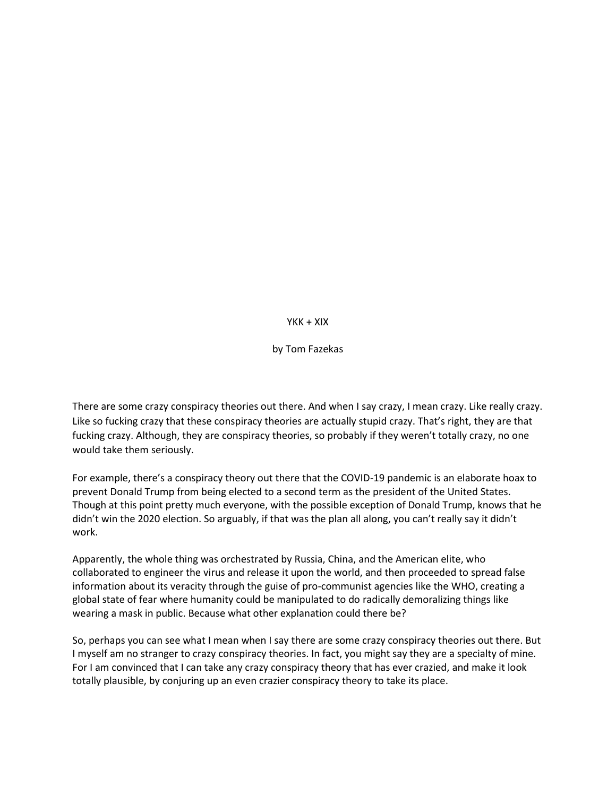$YKK + XIX$ 

by Tom Fazekas

There are some crazy conspiracy theories out there. And when I say crazy, I mean crazy. Like really crazy. Like so fucking crazy that these conspiracy theories are actually stupid crazy. That's right, they are that fucking crazy. Although, they are conspiracy theories, so probably if they weren't totally crazy, no one would take them seriously.

For example, there's a conspiracy theory out there that the COVID-19 pandemic is an elaborate hoax to prevent Donald Trump from being elected to a second term as the president of the United States. Though at this point pretty much everyone, with the possible exception of Donald Trump, knows that he didn't win the 2020 election. So arguably, if that was the plan all along, you can't really say it didn't work.

Apparently, the whole thing was orchestrated by Russia, China, and the American elite, who collaborated to engineer the virus and release it upon the world, and then proceeded to spread false information about its veracity through the guise of pro-communist agencies like the WHO, creating a global state of fear where humanity could be manipulated to do radically demoralizing things like wearing a mask in public. Because what other explanation could there be?

So, perhaps you can see what I mean when I say there are some crazy conspiracy theories out there. But I myself am no stranger to crazy conspiracy theories. In fact, you might say they are a specialty of mine. For I am convinced that I can take any crazy conspiracy theory that has ever crazied, and make it look totally plausible, by conjuring up an even crazier conspiracy theory to take its place.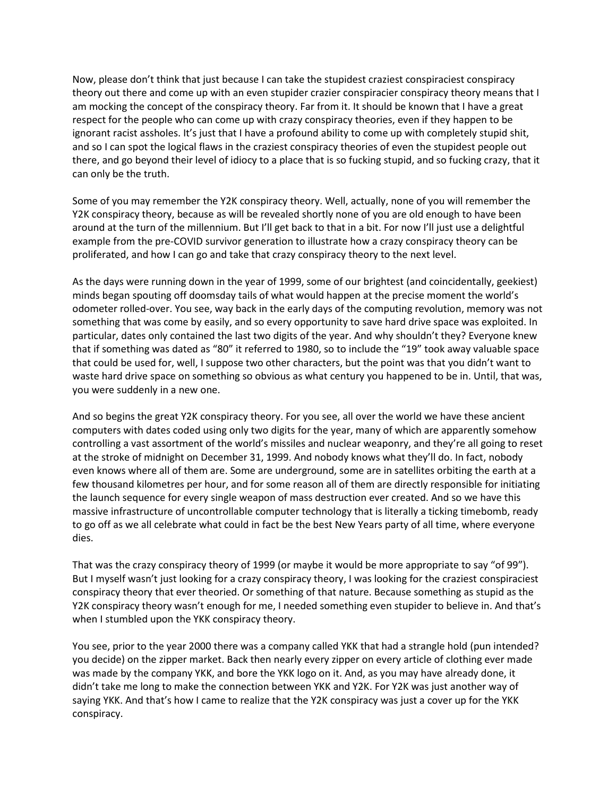Now, please don't think that just because I can take the stupidest craziest conspiraciest conspiracy theory out there and come up with an even stupider crazier conspiracier conspiracy theory means that I am mocking the concept of the conspiracy theory. Far from it. It should be known that I have a great respect for the people who can come up with crazy conspiracy theories, even if they happen to be ignorant racist assholes. It's just that I have a profound ability to come up with completely stupid shit, and so I can spot the logical flaws in the craziest conspiracy theories of even the stupidest people out there, and go beyond their level of idiocy to a place that is so fucking stupid, and so fucking crazy, that it can only be the truth.

Some of you may remember the Y2K conspiracy theory. Well, actually, none of you will remember the Y2K conspiracy theory, because as will be revealed shortly none of you are old enough to have been around at the turn of the millennium. But I'll get back to that in a bit. For now I'll just use a delightful example from the pre-COVID survivor generation to illustrate how a crazy conspiracy theory can be proliferated, and how I can go and take that crazy conspiracy theory to the next level.

As the days were running down in the year of 1999, some of our brightest (and coincidentally, geekiest) minds began spouting off doomsday tails of what would happen at the precise moment the world's odometer rolled-over. You see, way back in the early days of the computing revolution, memory was not something that was come by easily, and so every opportunity to save hard drive space was exploited. In particular, dates only contained the last two digits of the year. And why shouldn't they? Everyone knew that if something was dated as "80" it referred to 1980, so to include the "19" took away valuable space that could be used for, well, I suppose two other characters, but the point was that you didn't want to waste hard drive space on something so obvious as what century you happened to be in. Until, that was, you were suddenly in a new one.

And so begins the great Y2K conspiracy theory. For you see, all over the world we have these ancient computers with dates coded using only two digits for the year, many of which are apparently somehow controlling a vast assortment of the world's missiles and nuclear weaponry, and they're all going to reset at the stroke of midnight on December 31, 1999. And nobody knows what they'll do. In fact, nobody even knows where all of them are. Some are underground, some are in satellites orbiting the earth at a few thousand kilometres per hour, and for some reason all of them are directly responsible for initiating the launch sequence for every single weapon of mass destruction ever created. And so we have this massive infrastructure of uncontrollable computer technology that is literally a ticking timebomb, ready to go off as we all celebrate what could in fact be the best New Years party of all time, where everyone dies.

That was the crazy conspiracy theory of 1999 (or maybe it would be more appropriate to say "of 99"). But I myself wasn't just looking for a crazy conspiracy theory, I was looking for the craziest conspiraciest conspiracy theory that ever theoried. Or something of that nature. Because something as stupid as the Y2K conspiracy theory wasn't enough for me, I needed something even stupider to believe in. And that's when I stumbled upon the YKK conspiracy theory.

You see, prior to the year 2000 there was a company called YKK that had a strangle hold (pun intended? you decide) on the zipper market. Back then nearly every zipper on every article of clothing ever made was made by the company YKK, and bore the YKK logo on it. And, as you may have already done, it didn't take me long to make the connection between YKK and Y2K. For Y2K was just another way of saying YKK. And that's how I came to realize that the Y2K conspiracy was just a cover up for the YKK conspiracy.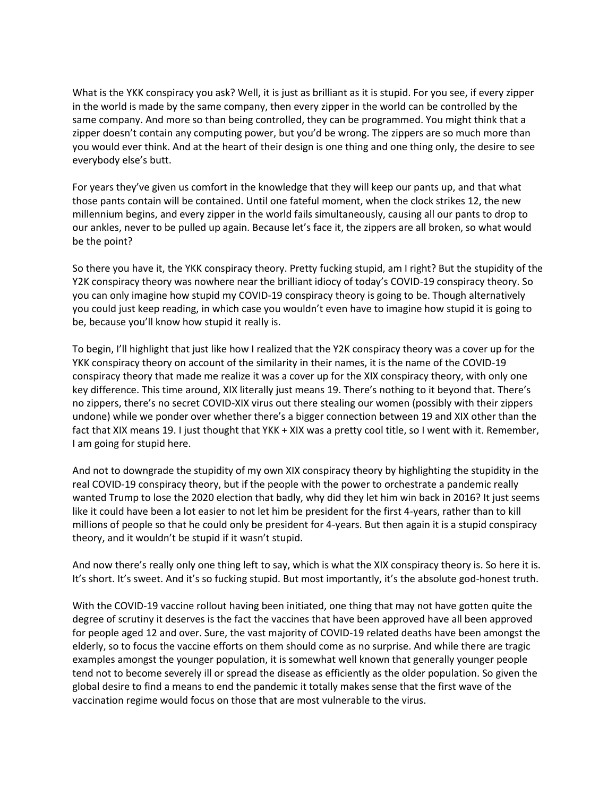What is the YKK conspiracy you ask? Well, it is just as brilliant as it is stupid. For you see, if every zipper in the world is made by the same company, then every zipper in the world can be controlled by the same company. And more so than being controlled, they can be programmed. You might think that a zipper doesn't contain any computing power, but you'd be wrong. The zippers are so much more than you would ever think. And at the heart of their design is one thing and one thing only, the desire to see everybody else's butt.

For years they've given us comfort in the knowledge that they will keep our pants up, and that what those pants contain will be contained. Until one fateful moment, when the clock strikes 12, the new millennium begins, and every zipper in the world fails simultaneously, causing all our pants to drop to our ankles, never to be pulled up again. Because let's face it, the zippers are all broken, so what would be the point?

So there you have it, the YKK conspiracy theory. Pretty fucking stupid, am I right? But the stupidity of the Y2K conspiracy theory was nowhere near the brilliant idiocy of today's COVID-19 conspiracy theory. So you can only imagine how stupid my COVID-19 conspiracy theory is going to be. Though alternatively you could just keep reading, in which case you wouldn't even have to imagine how stupid it is going to be, because you'll know how stupid it really is.

To begin, I'll highlight that just like how I realized that the Y2K conspiracy theory was a cover up for the YKK conspiracy theory on account of the similarity in their names, it is the name of the COVID-19 conspiracy theory that made me realize it was a cover up for the XIX conspiracy theory, with only one key difference. This time around, XIX literally just means 19. There's nothing to it beyond that. There's no zippers, there's no secret COVID-XIX virus out there stealing our women (possibly with their zippers undone) while we ponder over whether there's a bigger connection between 19 and XIX other than the fact that XIX means 19. I just thought that YKK + XIX was a pretty cool title, so I went with it. Remember, I am going for stupid here.

And not to downgrade the stupidity of my own XIX conspiracy theory by highlighting the stupidity in the real COVID-19 conspiracy theory, but if the people with the power to orchestrate a pandemic really wanted Trump to lose the 2020 election that badly, why did they let him win back in 2016? It just seems like it could have been a lot easier to not let him be president for the first 4-years, rather than to kill millions of people so that he could only be president for 4-years. But then again it is a stupid conspiracy theory, and it wouldn't be stupid if it wasn't stupid.

And now there's really only one thing left to say, which is what the XIX conspiracy theory is. So here it is. It's short. It's sweet. And it's so fucking stupid. But most importantly, it's the absolute god-honest truth.

With the COVID-19 vaccine rollout having been initiated, one thing that may not have gotten quite the degree of scrutiny it deserves is the fact the vaccines that have been approved have all been approved for people aged 12 and over. Sure, the vast majority of COVID-19 related deaths have been amongst the elderly, so to focus the vaccine efforts on them should come as no surprise. And while there are tragic examples amongst the younger population, it is somewhat well known that generally younger people tend not to become severely ill or spread the disease as efficiently as the older population. So given the global desire to find a means to end the pandemic it totally makes sense that the first wave of the vaccination regime would focus on those that are most vulnerable to the virus.